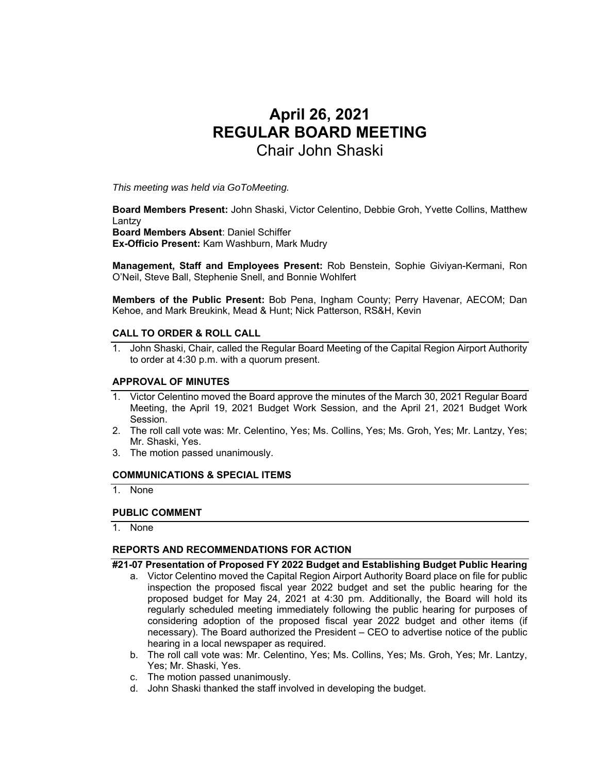# **April 26, 2021 REGULAR BOARD MEETING**  Chair John Shaski

*This meeting was held via GoToMeeting.* 

**Board Members Present:** John Shaski, Victor Celentino, Debbie Groh, Yvette Collins, Matthew Lantzy

**Board Members Absent**: Daniel Schiffer

**Ex-Officio Present:** Kam Washburn, Mark Mudry

**Management, Staff and Employees Present:** Rob Benstein, Sophie Giviyan-Kermani, Ron O'Neil, Steve Ball, Stephenie Snell, and Bonnie Wohlfert

**Members of the Public Present:** Bob Pena, Ingham County; Perry Havenar, AECOM; Dan Kehoe, and Mark Breukink, Mead & Hunt; Nick Patterson, RS&H, Kevin

## **CALL TO ORDER & ROLL CALL**

1. John Shaski, Chair, called the Regular Board Meeting of the Capital Region Airport Authority to order at 4:30 p.m. with a quorum present.

## **APPROVAL OF MINUTES**

- 1. Victor Celentino moved the Board approve the minutes of the March 30, 2021 Regular Board Meeting, the April 19, 2021 Budget Work Session, and the April 21, 2021 Budget Work Session.
- 2. The roll call vote was: Mr. Celentino, Yes; Ms. Collins, Yes; Ms. Groh, Yes; Mr. Lantzy, Yes; Mr. Shaski, Yes.
- 3. The motion passed unanimously.

#### **COMMUNICATIONS & SPECIAL ITEMS**

1. None

#### **PUBLIC COMMENT**

1. None

## **REPORTS AND RECOMMENDATIONS FOR ACTION**

**#21-07 Presentation of Proposed FY 2022 Budget and Establishing Budget Public Hearing** 

- a. Victor Celentino moved the Capital Region Airport Authority Board place on file for public inspection the proposed fiscal year 2022 budget and set the public hearing for the proposed budget for May 24, 2021 at 4:30 pm. Additionally, the Board will hold its regularly scheduled meeting immediately following the public hearing for purposes of considering adoption of the proposed fiscal year 2022 budget and other items (if necessary). The Board authorized the President – CEO to advertise notice of the public hearing in a local newspaper as required.
- b. The roll call vote was: Mr. Celentino, Yes; Ms. Collins, Yes; Ms. Groh, Yes; Mr. Lantzy, Yes; Mr. Shaski, Yes.
- c. The motion passed unanimously.
- d. John Shaski thanked the staff involved in developing the budget.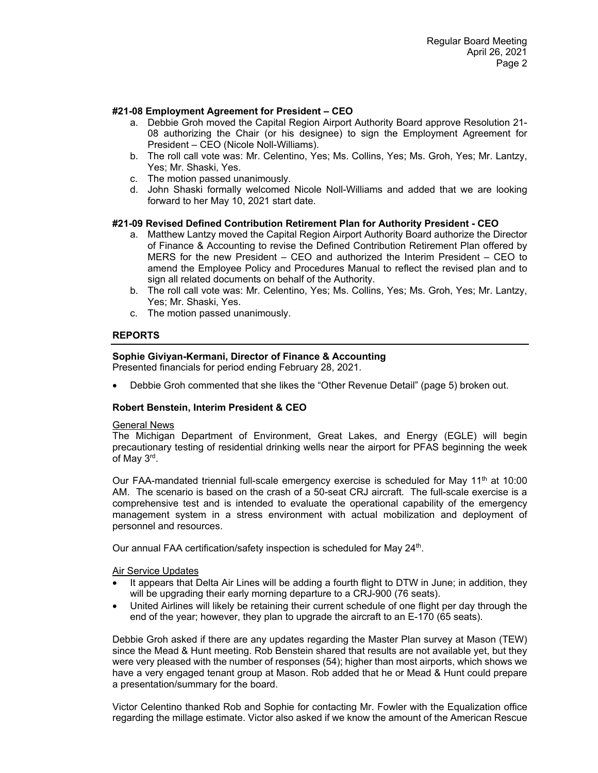## **#21-08 Employment Agreement for President – CEO**

- a. Debbie Groh moved the Capital Region Airport Authority Board approve Resolution 21- 08 authorizing the Chair (or his designee) to sign the Employment Agreement for President – CEO (Nicole Noll-Williams).
- b. The roll call vote was: Mr. Celentino, Yes; Ms. Collins, Yes; Ms. Groh, Yes; Mr. Lantzy, Yes; Mr. Shaski, Yes.
- c. The motion passed unanimously.
- d. John Shaski formally welcomed Nicole Noll-Williams and added that we are looking forward to her May 10, 2021 start date.

## **#21-09 Revised Defined Contribution Retirement Plan for Authority President - CEO**

- a. Matthew Lantzy moved the Capital Region Airport Authority Board authorize the Director of Finance & Accounting to revise the Defined Contribution Retirement Plan offered by MERS for the new President – CEO and authorized the Interim President – CEO to amend the Employee Policy and Procedures Manual to reflect the revised plan and to sign all related documents on behalf of the Authority.
- b. The roll call vote was: Mr. Celentino, Yes; Ms. Collins, Yes; Ms. Groh, Yes; Mr. Lantzy, Yes; Mr. Shaski, Yes.
- c. The motion passed unanimously.

# **REPORTS**

# **Sophie Giviyan-Kermani, Director of Finance & Accounting**

Presented financials for period ending February 28, 2021.

• Debbie Groh commented that she likes the "Other Revenue Detail" (page 5) broken out.

# **Robert Benstein, Interim President & CEO**

## General News

The Michigan Department of Environment, Great Lakes, and Energy (EGLE) will begin precautionary testing of residential drinking wells near the airport for PFAS beginning the week of May 3rd.

Our FAA-mandated triennial full-scale emergency exercise is scheduled for May 11<sup>th</sup> at 10:00 AM. The scenario is based on the crash of a 50-seat CRJ aircraft. The full-scale exercise is a comprehensive test and is intended to evaluate the operational capability of the emergency management system in a stress environment with actual mobilization and deployment of personnel and resources.

Our annual FAA certification/safety inspection is scheduled for May 24<sup>th</sup>.

## Air Service Updates

- It appears that Delta Air Lines will be adding a fourth flight to DTW in June; in addition, they will be upgrading their early morning departure to a CRJ-900 (76 seats).
- United Airlines will likely be retaining their current schedule of one flight per day through the end of the year; however, they plan to upgrade the aircraft to an E-170 (65 seats).

Debbie Groh asked if there are any updates regarding the Master Plan survey at Mason (TEW) since the Mead & Hunt meeting. Rob Benstein shared that results are not available yet, but they were very pleased with the number of responses (54); higher than most airports, which shows we have a very engaged tenant group at Mason. Rob added that he or Mead & Hunt could prepare a presentation/summary for the board.

Victor Celentino thanked Rob and Sophie for contacting Mr. Fowler with the Equalization office regarding the millage estimate. Victor also asked if we know the amount of the American Rescue